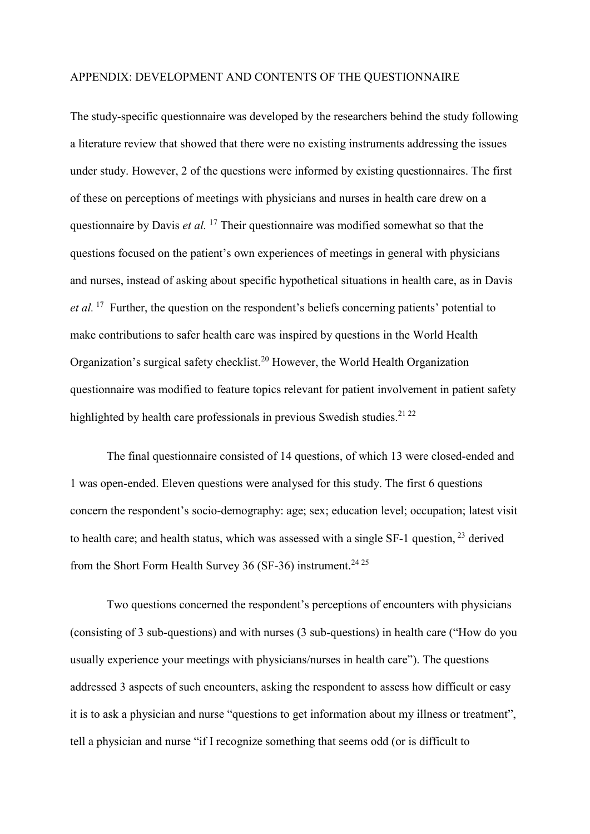## APPENDIX: DEVELOPMENT AND CONTENTS OF THE QUESTIONNAIRE

The study-specific questionnaire was developed by the researchers behind the study following a literature review that showed that there were no existing instruments addressing the issues under study. However, 2 of the questions were informed by existing questionnaires. The first of these on perceptions of meetings with physicians and nurses in health care drew on a questionnaire by Davis *et al.* <sup>17</sup> Their questionnaire was modified somewhat so that the questions focused on the patient's own experiences of meetings in general with physicians and nurses, instead of asking about specific hypothetical situations in health care, as in Davis *et al.* <sup>17</sup> Further, the question on the respondent's beliefs concerning patients' potential to make contributions to safer health care was inspired by questions in the World Health Organization's surgical safety checklist.<sup>20</sup> However, the World Health Organization questionnaire was modified to feature topics relevant for patient involvement in patient safety highlighted by health care professionals in previous Swedish studies.<sup>21, 22</sup>

The final questionnaire consisted of 14 questions, of which 13 were closed-ended and 1 was open-ended. Eleven questions were analysed for this study. The first 6 questions concern the respondent's socio-demography: age; sex; education level; occupation; latest visit to health care; and health status, which was assessed with a single SF-1 question, <sup>23</sup> derived from the Short Form Health Survey 36 (SF-36) instrument.<sup>24 25</sup>

Two questions concerned the respondent's perceptions of encounters with physicians (consisting of 3 sub-questions) and with nurses (3 sub-questions) in health care ("How do you usually experience your meetings with physicians/nurses in health care"). The questions addressed 3 aspects of such encounters, asking the respondent to assess how difficult or easy it is to ask a physician and nurse "questions to get information about my illness or treatment", tell a physician and nurse "if I recognize something that seems odd (or is difficult to